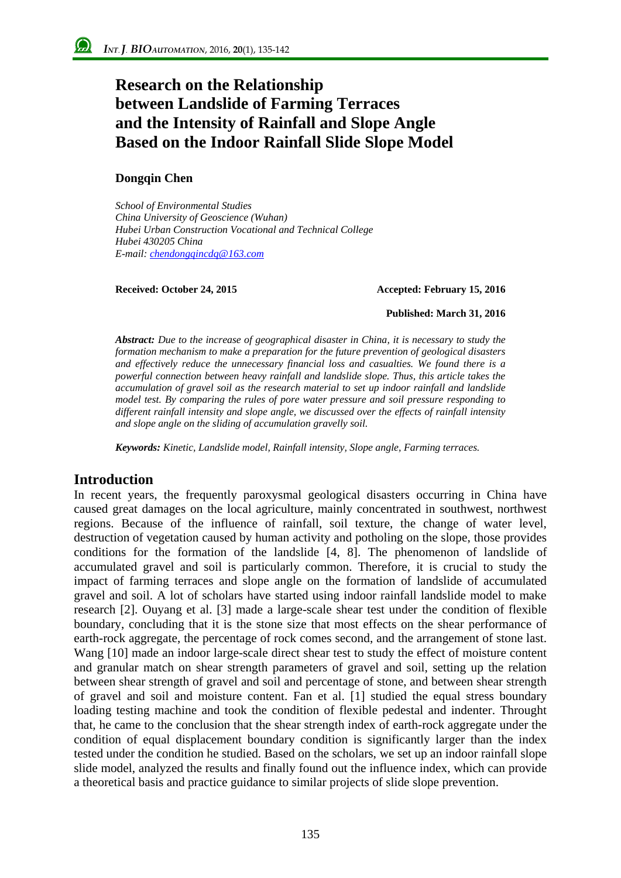# **Research on the Relationship between Landslide of Farming Terraces and the Intensity of Rainfall and Slope Angle Based on the Indoor Rainfall Slide Slope Model**

#### **Dongqin Chen**

*School of Environmental Studies China University of Geoscience (Wuhan) Hubei Urban Construction Vocational and Technical College Hubei 430205 China E-mail: chendongqincdq@163.com*

#### **Received: October 24, 2015 Accepted: February 15, 2016**

#### **Published: March 31, 2016**

*Abstract: Due to the increase of geographical disaster in China, it is necessary to study the formation mechanism to make a preparation for the future prevention of geological disasters and effectively reduce the unnecessary financial loss and casualties. We found there is a powerful connection between heavy rainfall and landslide slope. Thus, this article takes the accumulation of gravel soil as the research material to set up indoor rainfall and landslide model test. By comparing the rules of pore water pressure and soil pressure responding to different rainfall intensity and slope angle, we discussed over the effects of rainfall intensity and slope angle on the sliding of accumulation gravelly soil.*

*Keywords: Kinetic, Landslide model, Rainfall intensity, Slope angle, Farming terraces.*

#### **Introduction**

In recent years, the frequently paroxysmal geological disasters occurring in China have caused great damages on the local agriculture, mainly concentrated in southwest, northwest regions. Because of the influence of rainfall, soil texture, the change of water level, destruction of vegetation caused by human activity and potholing on the slope, those provides conditions for the formation of the landslide [4, 8]. The phenomenon of landslide of accumulated gravel and soil is particularly common. Therefore, it is crucial to study the impact of farming terraces and slope angle on the formation of landslide of accumulated gravel and soil. A lot of scholars have started using indoor rainfall landslide model to make research [2]. Ouyang et al. [3] made a large-scale shear test under the condition of flexible boundary, concluding that it is the stone size that most effects on the shear performance of earth-rock aggregate, the percentage of rock comes second, and the arrangement of stone last. Wang [10] made an indoor large-scale direct shear test to study the effect of moisture content and granular match on shear strength parameters of gravel and soil, setting up the relation between shear strength of gravel and soil and percentage of stone, and between shear strength of gravel and soil and moisture content. Fan et al. [1] studied the equal stress boundary loading testing machine and took the condition of flexible pedestal and indenter. Throught that, he came to the conclusion that the shear strength index of earth-rock aggregate under the condition of equal displacement boundary condition is significantly larger than the index tested under the condition he studied. Based on the scholars, we set up an indoor rainfall slope slide model, analyzed the results and finally found out the influence index, which can provide a theoretical basis and practice guidance to similar projects of slide slope prevention.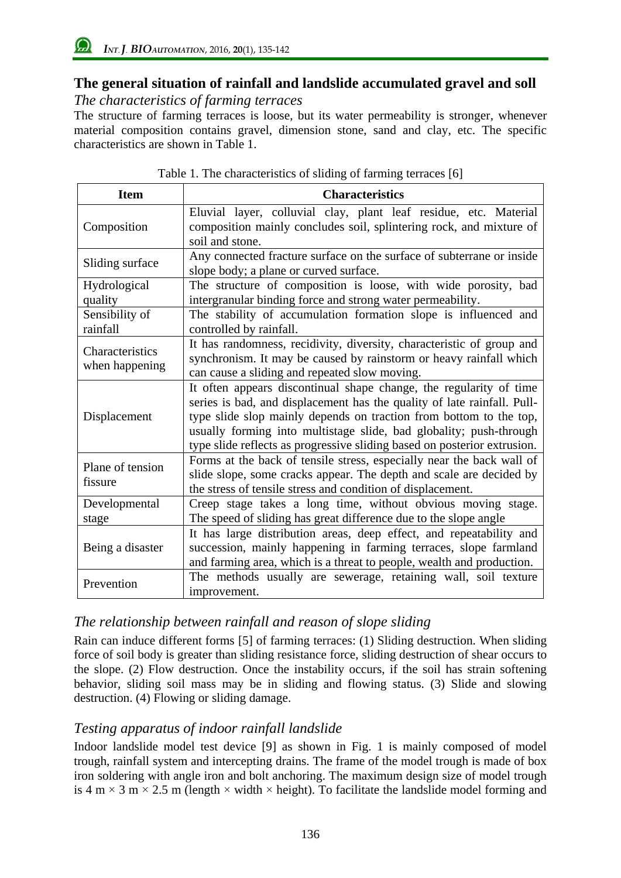# **The general situation of rainfall and landslide accumulated gravel and soll**

# *The characteristics of farming terraces*

The structure of farming terraces is loose, but its water permeability is stronger, whenever material composition contains gravel, dimension stone, sand and clay, etc. The specific characteristics are shown in Table 1.

| <b>Item</b>                       | <b>Characteristics</b>                                                                                                                                                                                                                                                                                                                                                |
|-----------------------------------|-----------------------------------------------------------------------------------------------------------------------------------------------------------------------------------------------------------------------------------------------------------------------------------------------------------------------------------------------------------------------|
| Composition                       | Eluvial layer, colluvial clay, plant leaf residue, etc. Material<br>composition mainly concludes soil, splintering rock, and mixture of<br>soil and stone.                                                                                                                                                                                                            |
| Sliding surface                   | Any connected fracture surface on the surface of subterrane or inside<br>slope body; a plane or curved surface.                                                                                                                                                                                                                                                       |
| Hydrological<br>quality           | The structure of composition is loose, with wide porosity, bad<br>intergranular binding force and strong water permeability.                                                                                                                                                                                                                                          |
| Sensibility of<br>rainfall        | The stability of accumulation formation slope is influenced and<br>controlled by rainfall.                                                                                                                                                                                                                                                                            |
| Characteristics<br>when happening | It has randomness, recidivity, diversity, characteristic of group and<br>synchronism. It may be caused by rainstorm or heavy rainfall which<br>can cause a sliding and repeated slow moving.                                                                                                                                                                          |
| Displacement                      | It often appears discontinual shape change, the regularity of time<br>series is bad, and displacement has the quality of late rainfall. Pull-<br>type slide slop mainly depends on traction from bottom to the top,<br>usually forming into multistage slide, bad globality; push-through<br>type slide reflects as progressive sliding based on posterior extrusion. |
| Plane of tension<br>fissure       | Forms at the back of tensile stress, especially near the back wall of<br>slide slope, some cracks appear. The depth and scale are decided by<br>the stress of tensile stress and condition of displacement.                                                                                                                                                           |
| Developmental<br>stage            | Creep stage takes a long time, without obvious moving stage.<br>The speed of sliding has great difference due to the slope angle                                                                                                                                                                                                                                      |
| Being a disaster                  | It has large distribution areas, deep effect, and repeatability and<br>succession, mainly happening in farming terraces, slope farmland<br>and farming area, which is a threat to people, wealth and production.                                                                                                                                                      |
| Prevention                        | The methods usually are sewerage, retaining wall, soil texture<br>improvement.                                                                                                                                                                                                                                                                                        |

Table 1. The characteristics of sliding of farming terraces [6]

# *The relationship between rainfall and reason of slope sliding*

Rain can induce different forms [5] of farming terraces: (1) Sliding destruction. When sliding force of soil body is greater than sliding resistance force, sliding destruction of shear occurs to the slope. (2) Flow destruction. Once the instability occurs, if the soil has strain softening behavior, sliding soil mass may be in sliding and flowing status. (3) Slide and slowing destruction. (4) Flowing or sliding damage.

# *Testing apparatus of indoor rainfall landslide*

Indoor landslide model test device [9] as shown in Fig. 1 is mainly composed of model trough, rainfall system and intercepting drains. The frame of the model trough is made of box iron soldering with angle iron and bolt anchoring. The maximum design size of model trough is 4 m  $\times$  3 m  $\times$  2.5 m (length  $\times$  width  $\times$  height). To facilitate the landslide model forming and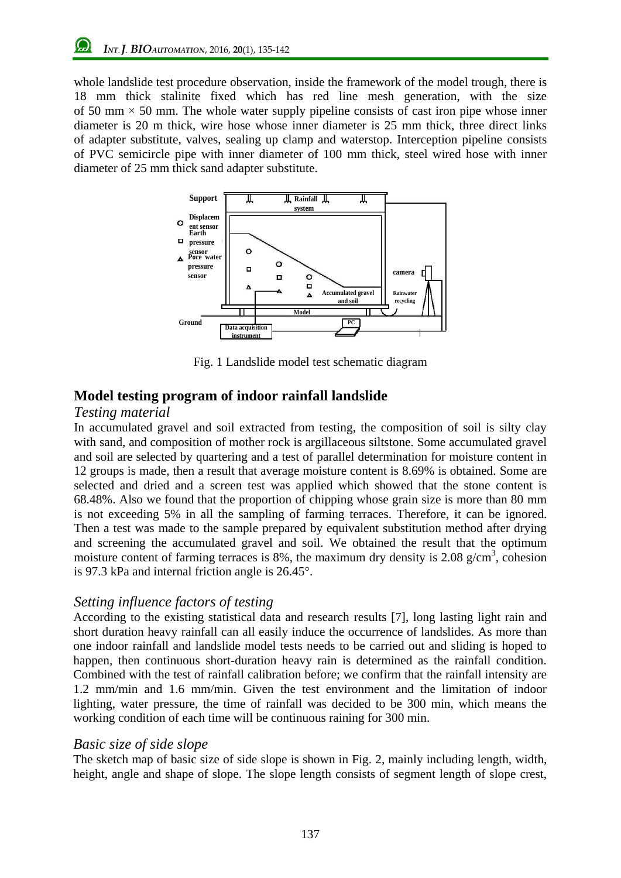whole landslide test procedure observation, inside the framework of the model trough, there is 18 mm thick stalinite fixed which has red line mesh generation, with the size of 50 mm  $\times$  50 mm. The whole water supply pipeline consists of cast iron pipe whose inner diameter is 20 m thick, wire hose whose inner diameter is 25 mm thick, three direct links of adapter substitute, valves, sealing up clamp and waterstop. Interception pipeline consists of PVC semicircle pipe with inner diameter of 100 mm thick, steel wired hose with inner diameter of 25 mm thick sand adapter substitute.



Fig. 1 Landslide model test schematic diagram

# **Model testing program of indoor rainfall landslide**

#### *Testing material*

In accumulated gravel and soil extracted from testing, the composition of soil is silty clay with sand, and composition of mother rock is argillaceous siltstone. Some accumulated gravel and soil are selected by quartering and a test of parallel determination for moisture content in 12 groups is made, then a result that average moisture content is 8.69% is obtained. Some are selected and dried and a screen test was applied which showed that the stone content is 68.48%. Also we found that the proportion of chipping whose grain size is more than 80 mm is not exceeding 5% in all the sampling of farming terraces. Therefore, it can be ignored. Then a test was made to the sample prepared by equivalent substitution method after drying and screening the accumulated gravel and soil. We obtained the result that the optimum moisture content of farming terraces is 8%, the maximum dry density is 2.08  $g/cm<sup>3</sup>$ , cohesion is 97.3 kPa and internal friction angle is 26.45°.

## *Setting influence factors of testing*

According to the existing statistical data and research results [7], long lasting light rain and short duration heavy rainfall can all easily induce the occurrence of landslides. As more than one indoor rainfall and landslide model tests needs to be carried out and sliding is hoped to happen, then continuous short-duration heavy rain is determined as the rainfall condition. Combined with the test of rainfall calibration before; we confirm that the rainfall intensity are 1.2 mm/min and 1.6 mm/min. Given the test environment and the limitation of indoor lighting, water pressure, the time of rainfall was decided to be 300 min, which means the working condition of each time will be continuous raining for 300 min.

## *Basic size of side slope*

The sketch map of basic size of side slope is shown in Fig. 2, mainly including length, width, height, angle and shape of slope. The slope length consists of segment length of slope crest,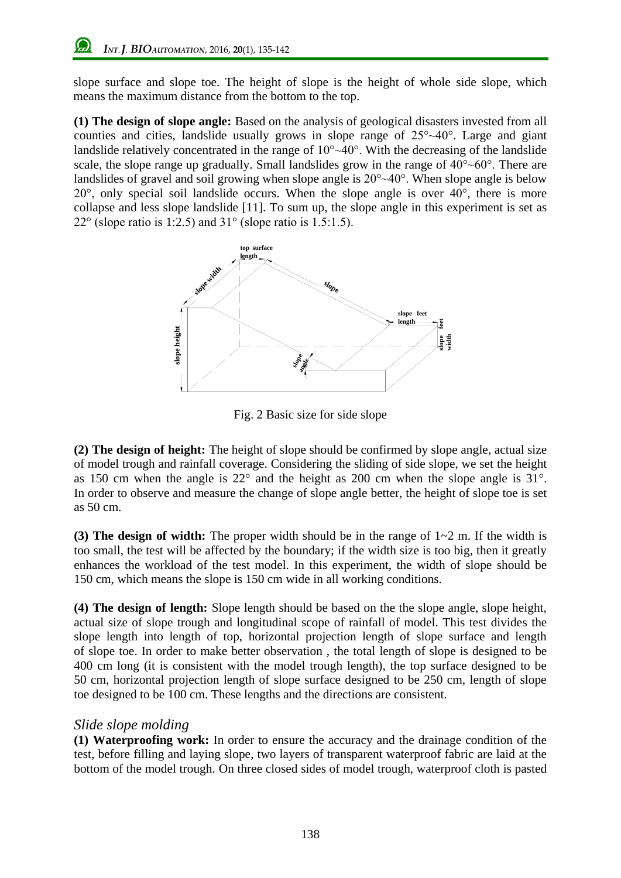slope surface and slope toe. The height of slope is the height of whole side slope, which means the maximum distance from the bottom to the top.

**(1) The design of slope angle:** Based on the analysis of geological disasters invested from all counties and cities, landslide usually grows in slope range of 25°~40°. Large and giant landslide relatively concentrated in the range of  $10^{\circ} \sim 40^{\circ}$ . With the decreasing of the landslide scale, the slope range up gradually. Small landslides grow in the range of  $40^{\circ}$  -60 $^{\circ}$ . There are landslides of gravel and soil growing when slope angle is  $20^{\circ} \sim 40^{\circ}$ . When slope angle is below 20°, only special soil landslide occurs. When the slope angle is over 40°, there is more collapse and less slope landslide [11]. To sum up, the slope angle in this experiment is set as 22 $\degree$  (slope ratio is 1:2.5) and 31 $\degree$  (slope ratio is 1.5:1.5).



Fig. 2 Basic size for side slope

**(2) The design of height:** The height of slope should be confirmed by slope angle, actual size of model trough and rainfall coverage. Considering the sliding of side slope, we set the height as 150 cm when the angle is 22° and the height as 200 cm when the slope angle is 31°. In order to observe and measure the change of slope angle better, the height of slope toe is set as 50 cm.

**(3) The design of width:** The proper width should be in the range of 1~2 m. If the width is too small, the test will be affected by the boundary; if the width size is too big, then it greatly enhances the workload of the test model. In this experiment, the width of slope should be 150 cm, which means the slope is 150 cm wide in all working conditions.

**(4) The design of length:** Slope length should be based on the the slope angle, slope height, actual size of slope trough and longitudinal scope of rainfall of model. This test divides the slope length into length of top, horizontal projection length of slope surface and length of slope toe. In order to make better observation , the total length of slope is designed to be 400 cm long (it is consistent with the model trough length), the top surface designed to be 50 cm, horizontal projection length of slope surface designed to be 250 cm, length of slope toe designed to be 100 cm. These lengths and the directions are consistent.

## *Slide slope molding*

**(1) Waterproofing work:** In order to ensure the accuracy and the drainage condition of the test, before filling and laying slope, two layers of transparent waterproof fabric are laid at the bottom of the model trough. On three closed sides of model trough, waterproof cloth is pasted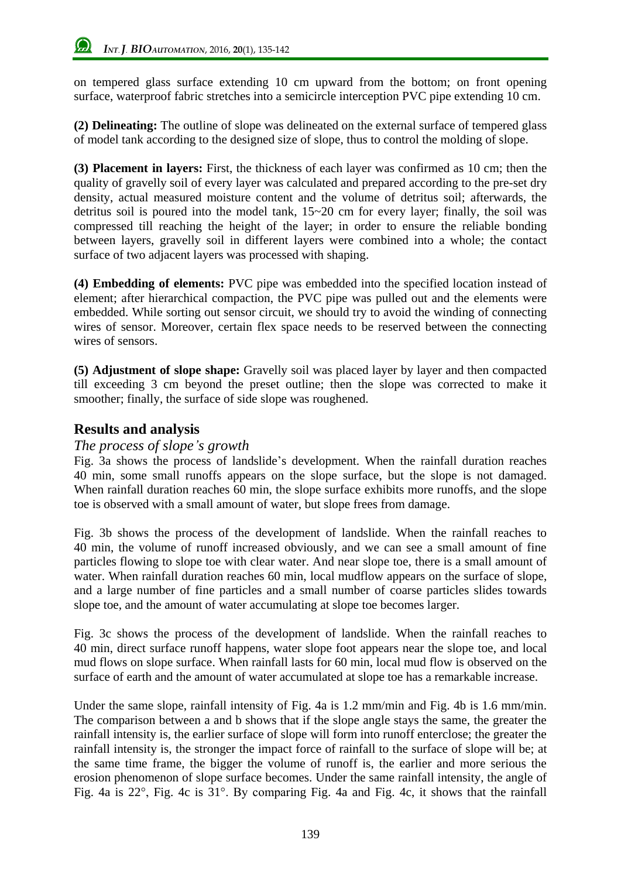on tempered glass surface extending 10 cm upward from the bottom; on front opening surface, waterproof fabric stretches into a semicircle interception PVC pipe extending 10 cm.

**(2) Delineating:** The outline of slope was delineated on the external surface of tempered glass of model tank according to the designed size of slope, thus to control the molding of slope.

**(3) Placement in layers:** First, the thickness of each layer was confirmed as 10 cm; then the quality of gravelly soil of every layer was calculated and prepared according to the pre-set dry density, actual measured moisture content and the volume of detritus soil; afterwards, the detritus soil is poured into the model tank, 15~20 cm for every layer; finally, the soil was compressed till reaching the height of the layer; in order to ensure the reliable bonding between layers, gravelly soil in different layers were combined into a whole; the contact surface of two adjacent layers was processed with shaping.

**(4) Embedding of elements:** PVC pipe was embedded into the specified location instead of element; after hierarchical compaction, the PVC pipe was pulled out and the elements were embedded. While sorting out sensor circuit, we should try to avoid the winding of connecting wires of sensor. Moreover, certain flex space needs to be reserved between the connecting wires of sensors.

**(5) Adjustment of slope shape:** Gravelly soil was placed layer by layer and then compacted till exceeding 3 cm beyond the preset outline; then the slope was corrected to make it smoother; finally, the surface of side slope was roughened.

# **Results and analysis**

#### *The process of slope's growth*

Fig. 3a shows the process of landslide's development. When the rainfall duration reaches 40 min, some small runoffs appears on the slope surface, but the slope is not damaged. When rainfall duration reaches 60 min, the slope surface exhibits more runoffs, and the slope toe is observed with a small amount of water, but slope frees from damage.

Fig. 3b shows the process of the development of landslide. When the rainfall reaches to 40 min, the volume of runoff increased obviously, and we can see a small amount of fine particles flowing to slope toe with clear water. And near slope toe, there is a small amount of water. When rainfall duration reaches 60 min, local mudflow appears on the surface of slope, and a large number of fine particles and a small number of coarse particles slides towards slope toe, and the amount of water accumulating at slope toe becomes larger.

Fig. 3c shows the process of the development of landslide. When the rainfall reaches to 40 min, direct surface runoff happens, water slope foot appears near the slope toe, and local mud flows on slope surface. When rainfall lasts for 60 min, local mud flow is observed on the surface of earth and the amount of water accumulated at slope toe has a remarkable increase.

Under the same slope, rainfall intensity of Fig. 4a is 1.2 mm/min and Fig. 4b is 1.6 mm/min. The comparison between a and b shows that if the slope angle stays the same, the greater the rainfall intensity is, the earlier surface of slope will form into runoff enterclose; the greater the rainfall intensity is, the stronger the impact force of rainfall to the surface of slope will be; at the same time frame, the bigger the volume of runoff is, the earlier and more serious the erosion phenomenon of slope surface becomes. Under the same rainfall intensity, the angle of Fig. 4a is 22°, Fig. 4c is 31°. By comparing Fig. 4a and Fig. 4c, it shows that the rainfall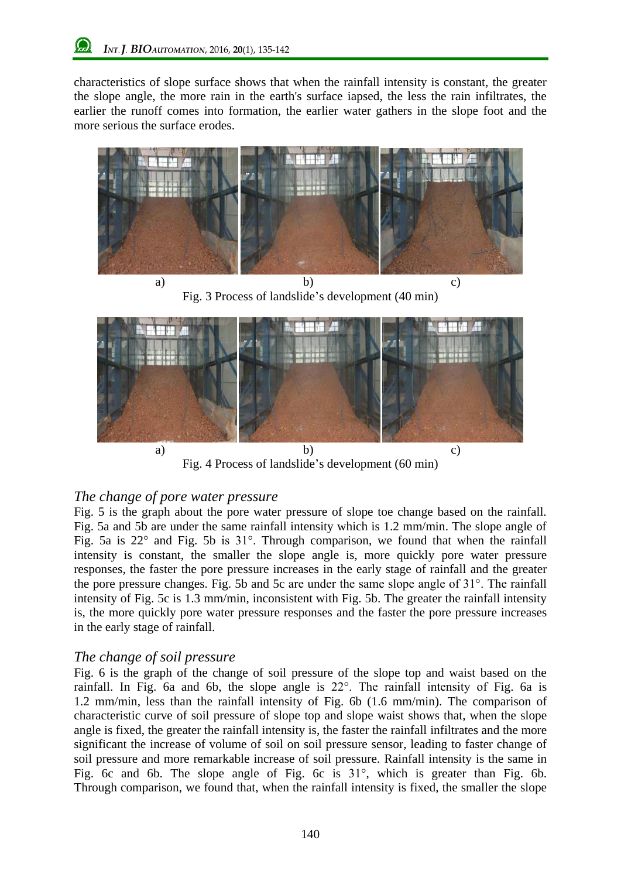characteristics of slope surface shows that when the rainfall intensity is constant, the greater the slope angle, the more rain in the earth's surface iapsed, the less the rain infiltrates, the earlier the runoff comes into formation, the earlier water gathers in the slope foot and the more serious the surface erodes.



a) b) c) Fig. 3 Process of landslide's development (40 min)



Fig. 4 Process of landslide's development (60 min)

## *The change of pore water pressure*

Fig. 5 is the graph about the pore water pressure of slope toe change based on the rainfall. Fig. 5a and 5b are under the same rainfall intensity which is 1.2 mm/min. The slope angle of Fig. 5a is 22° and Fig. 5b is 31°. Through comparison, we found that when the rainfall intensity is constant, the smaller the slope angle is, more quickly pore water pressure responses, the faster the pore pressure increases in the early stage of rainfall and the greater the pore pressure changes. Fig. 5b and 5c are under the same slope angle of 31°. The rainfall intensity of Fig. 5c is 1.3 mm/min, inconsistent with Fig. 5b. The greater the rainfall intensity is, the more quickly pore water pressure responses and the faster the pore pressure increases in the early stage of rainfall.

## *The change of soil pressure*

Fig. 6 is the graph of the change of soil pressure of the slope top and waist based on the rainfall. In Fig. 6a and 6b, the slope angle is 22°. The rainfall intensity of Fig. 6a is 1.2 mm/min, less than the rainfall intensity of Fig. 6b (1.6 mm/min). The comparison of characteristic curve of soil pressure of slope top and slope waist shows that, when the slope angle is fixed, the greater the rainfall intensity is, the faster the rainfall infiltrates and the more significant the increase of volume of soil on soil pressure sensor, leading to faster change of soil pressure and more remarkable increase of soil pressure. Rainfall intensity is the same in Fig. 6c and 6b. The slope angle of Fig. 6c is 31°, which is greater than Fig. 6b. Through comparison, we found that, when the rainfall intensity is fixed, the smaller the slope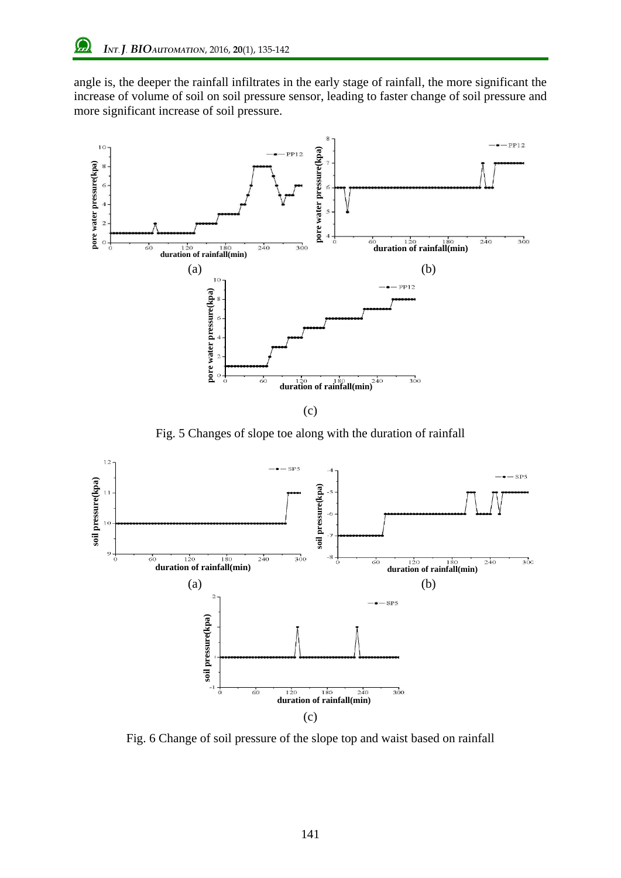angle is, the deeper the rainfall infiltrates in the early stage of rainfall, the more significant the increase of volume of soil on soil pressure sensor, leading to faster change of soil pressure and more significant increase of soil pressure.



(c)

Fig. 5 Changes of slope toe along with the duration of rainfall



Fig. 6 Change of soil pressure of the slope top and waist based on rainfall